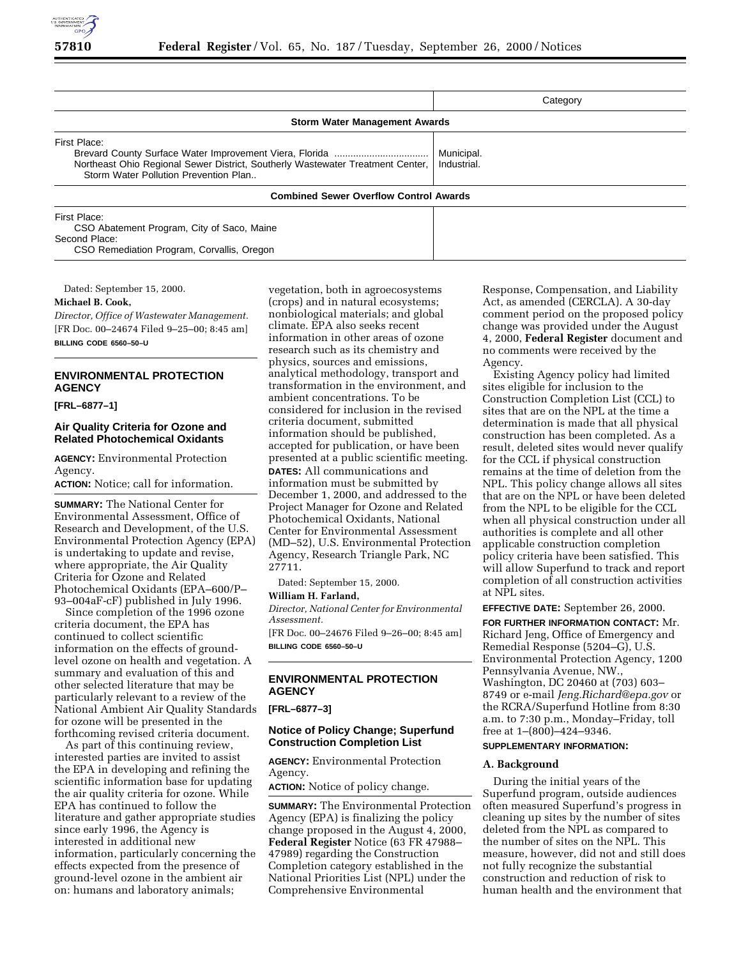

|                                                                                                                                         | Category                  |
|-----------------------------------------------------------------------------------------------------------------------------------------|---------------------------|
| <b>Storm Water Management Awards</b>                                                                                                    |                           |
| First Place:<br>Northeast Ohio Regional Sewer District, Southerly Wastewater Treatment Center,<br>Storm Water Pollution Prevention Plan | Municipal.<br>Industrial. |
| <b>Combined Sewer Overflow Control Awards</b>                                                                                           |                           |
| First Place:<br>CSO Abatement Program, City of Saco, Maine<br>Second Place:                                                             |                           |

Dated: September 15, 2000.

#### **Michael B. Cook,**

*Director, Office of Wastewater Management.* [FR Doc. 00–24674 Filed 9–25–00; 8:45 am] **BILLING CODE 6560–50–U**

CSO Remediation Program, Corvallis, Oregon

# **ENVIRONMENTAL PROTECTION AGENCY**

**[FRL–6877–1]**

## **Air Quality Criteria for Ozone and Related Photochemical Oxidants**

**AGENCY:** Environmental Protection Agency.

**ACTION:** Notice; call for information.

**SUMMARY:** The National Center for Environmental Assessment, Office of Research and Development, of the U.S. Environmental Protection Agency (EPA) is undertaking to update and revise, where appropriate, the Air Quality Criteria for Ozone and Related Photochemical Oxidants (EPA–600/P– 93–004aF-cF) published in July 1996.

Since completion of the 1996 ozone criteria document, the EPA has continued to collect scientific information on the effects of groundlevel ozone on health and vegetation. A summary and evaluation of this and other selected literature that may be particularly relevant to a review of the National Ambient Air Quality Standards for ozone will be presented in the forthcoming revised criteria document.

As part of this continuing review, interested parties are invited to assist the EPA in developing and refining the scientific information base for updating the air quality criteria for ozone. While EPA has continued to follow the literature and gather appropriate studies since early 1996, the Agency is interested in additional new information, particularly concerning the effects expected from the presence of ground-level ozone in the ambient air on: humans and laboratory animals;

vegetation, both in agroecosystems (crops) and in natural ecosystems; nonbiological materials; and global climate. EPA also seeks recent information in other areas of ozone research such as its chemistry and physics, sources and emissions, analytical methodology, transport and transformation in the environment, and ambient concentrations. To be considered for inclusion in the revised criteria document, submitted information should be published, accepted for publication, or have been presented at a public scientific meeting. **DATES:** All communications and information must be submitted by December 1, 2000, and addressed to the Project Manager for Ozone and Related Photochemical Oxidants, National Center for Environmental Assessment (MD–52), U.S. Environmental Protection Agency, Research Triangle Park, NC 27711.

Dated: September 15, 2000.

# **William H. Farland,**

*Director, National Center for Environmental Assessment.* [FR Doc. 00–24676 Filed 9–26–00; 8:45 am]

**BILLING CODE 6560–50–U**

# **ENVIRONMENTAL PROTECTION AGENCY**

**[FRL–6877–3]**

### **Notice of Policy Change; Superfund Construction Completion List**

**AGENCY:** Environmental Protection Agency.

**ACTION:** Notice of policy change.

**SUMMARY:** The Environmental Protection Agency (EPA) is finalizing the policy change proposed in the August 4, 2000, **Federal Register** Notice (63 FR 47988– 47989) regarding the Construction Completion category established in the National Priorities List (NPL) under the Comprehensive Environmental

Response, Compensation, and Liability Act, as amended (CERCLA). A 30-day comment period on the proposed policy change was provided under the August 4, 2000, **Federal Register** document and no comments were received by the Agency.

Existing Agency policy had limited sites eligible for inclusion to the Construction Completion List (CCL) to sites that are on the NPL at the time a determination is made that all physical construction has been completed. As a result, deleted sites would never qualify for the CCL if physical construction remains at the time of deletion from the NPL. This policy change allows all sites that are on the NPL or have been deleted from the NPL to be eligible for the CCL when all physical construction under all authorities is complete and all other applicable construction completion policy criteria have been satisfied. This will allow Superfund to track and report completion of all construction activities at NPL sites.

**EFFECTIVE DATE:** September 26, 2000.

**FOR FURTHER INFORMATION CONTACT:** Mr. Richard Jeng, Office of Emergency and Remedial Response (5204–G), U.S. Environmental Protection Agency, 1200 Pennsylvania Avenue, NW., Washington, DC 20460 at (703) 603– 8749 or e-mail *Jeng.Richard@epa.gov* or the RCRA/Superfund Hotline from 8:30 a.m. to 7:30 p.m., Monday–Friday, toll free at  $1-(800)-424-9346$ .

#### **SUPPLEMENTARY INFORMATION:**

#### **A. Background**

During the initial years of the Superfund program, outside audiences often measured Superfund's progress in cleaning up sites by the number of sites deleted from the NPL as compared to the number of sites on the NPL. This measure, however, did not and still does not fully recognize the substantial construction and reduction of risk to human health and the environment that